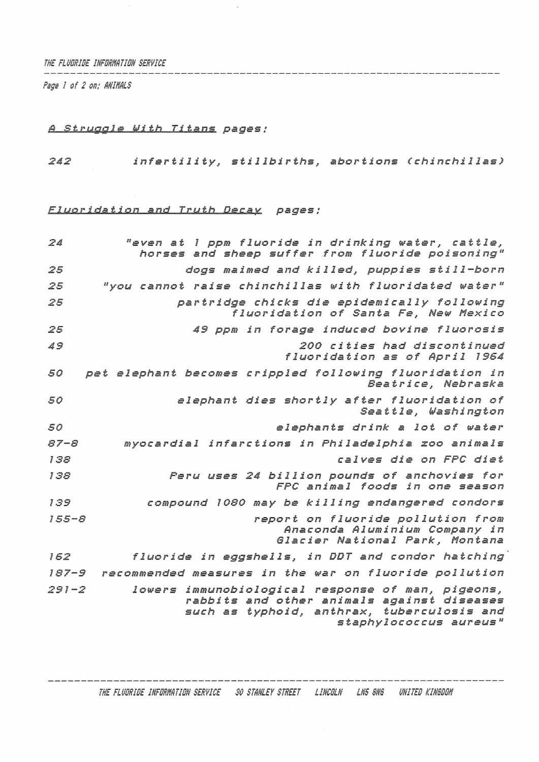*THE FLUORIDE INFORMATION SERVICE*

*Page I of 2 on; ANINALS*

# *<sup>A</sup> Struggle bi th Titans pages ;*

*<sup>242</sup> infertility, stillbirths, abortions (chinchillas)*

# *Fluoridation and Truth Decay pages:*

| 24        | "even at 1 ppm fluoride in drinking water, cattle,<br>horses and sheep suffer from fluoride poisoning"                                                                  |
|-----------|-------------------------------------------------------------------------------------------------------------------------------------------------------------------------|
| 25        | dogs maimed and killed, puppies still-born                                                                                                                              |
| 25        | "you cannot raise chinchillas with fluoridated water"                                                                                                                   |
| 25        | partridge chicks die epidemically following<br>fluoridation of Santa Fe, New Mexico                                                                                     |
| 25        | 49 ppm in forage induced bovine fluorosis                                                                                                                               |
| 49        | 200 cities had discontinued<br>fluoridation as of April 1964                                                                                                            |
| 50        | pet elephant becomes crippled following fluoridation in<br>Beatrice, Nebraska                                                                                           |
| 50        | elephant dies shortly after fluoridation of<br>Seattle, Washington                                                                                                      |
| 50        | elephants drink a lot of water                                                                                                                                          |
| $87 - 8$  | myocardial infarctions in Philadelphia zoo animals                                                                                                                      |
| 138       | calves die on FPC diet                                                                                                                                                  |
| 138       | Peru uses 24 billion pounds of anchovies for<br>FPC animal foods in one season                                                                                          |
| 139       | compound 1080 may be killing endangered condors                                                                                                                         |
| $155 - 8$ | report on fluoride pollution from<br>Anaconda Aluminium Company in<br>Glacier National Park, Montana                                                                    |
| 162       | fluoride in eggshells, in DDT and condor hatching                                                                                                                       |
| $187 - 9$ | recommended measures in the war on fluoride pollution                                                                                                                   |
| $291 - 2$ | lowers immunobiological response of man, pigeons,<br>rabbits and other animals against diseases<br>such as typhoid, anthrax, tuberculosis and<br>staphylococcus aureus" |